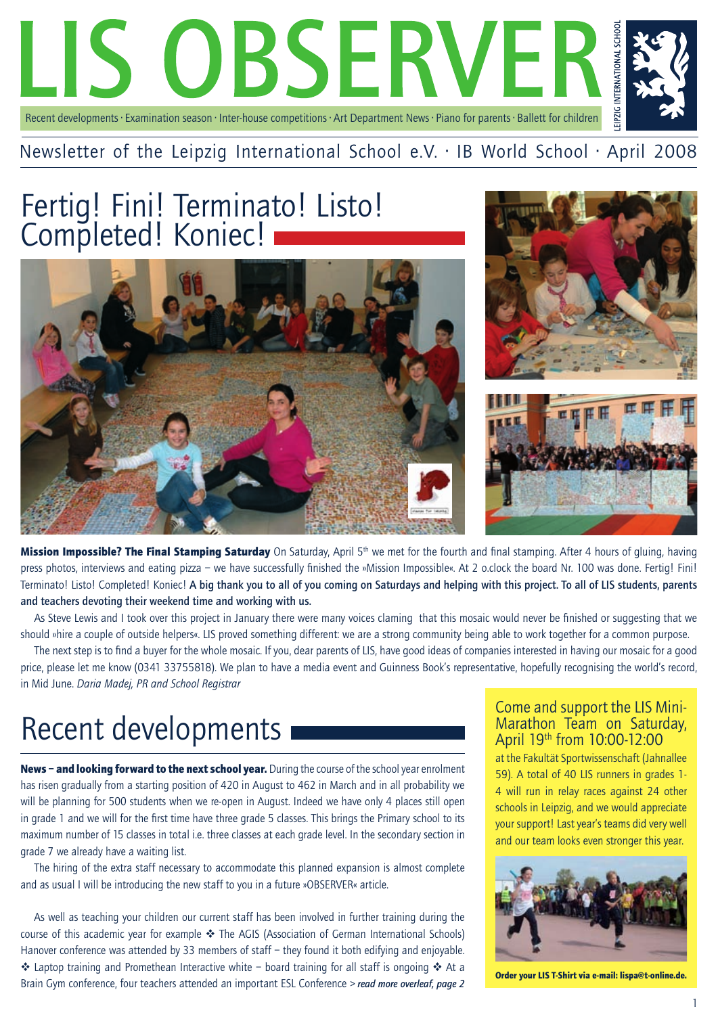

## Newsletter of the Leipzig International School e.V. · IB World School · April 2008

## Fertig! Fini! Terminato! Listo! Completed! Koniec!







Mission Impossible? The Final Stamping Saturday On Saturday, April 5<sup>th</sup> we met for the fourth and final stamping. After 4 hours of gluing, having press photos, interviews and eating pizza – we have successfully finished the »Mission Impossible«. At 2 o.clock the board Nr. 100 was done. Fertig! Fini! Terminato! Listo! Completed! Koniec! A big thank you to all of you coming on Saturdays and helping with this project. To all of LIS students, parents and teachers devoting their weekend time and working with us.

As Steve Lewis and I took over this project in January there were many voices claming that this mosaic would never be finished or suggesting that we should »hire a couple of outside helpers«. LIS proved something different: we are a strong community being able to work together for a common purpose.

The next step is to find a buyer for the whole mosaic. If you, dear parents of LIS, have good ideas of companies interested in having our mosaic for a good price, please let me know (0341 33755818). We plan to have a media event and Guinness Book's representative, hopefully recognising the world's record, in Mid June. *Daria Madej, PR and School Registrar*

# Recent developments

News - and looking forward to the next school year. During the course of the school year enrolment has risen gradually from a starting position of 420 in August to 462 in March and in all probability we will be planning for 500 students when we re-open in August. Indeed we have only 4 places still open in grade 1 and we will for the first time have three grade 5 classes. This brings the Primary school to its maximum number of 15 classes in total i.e. three classes at each grade level. In the secondary section in grade 7 we already have a waiting list.

The hiring of the extra staff necessary to accommodate this planned expansion is almost complete and as usual I will be introducing the new staff to you in a future »OBSERVER« article.

As well as teaching your children our current staff has been involved in further training during the course of this academic year for example  $\clubsuit$  The AGIS (Association of German International Schools) Hanover conference was attended by 33 members of staff – they found it both edifying and enjoyable.  $\cdot$  Laptop training and Promethean Interactive white – board training for all staff is ongoing  $\cdot$  At a Brain Gym conference, four teachers attended an important ESL Conference *> read more overleaf, page 2* 

#### Come and support the LIS Mini-Marathon Team on Saturday, April 19th from 10:00-12:00

at the Fakultät Sportwissenschaft (Jahnallee 59). A total of 40 LIS runners in grades 1- 4 will run in relay races against 24 other schools in Leipzig, and we would appreciate your support! Last year's teams did very well and our team looks even stronger this year.



Order your LIS T-Shirt via e-mail: lispa@t-online.de.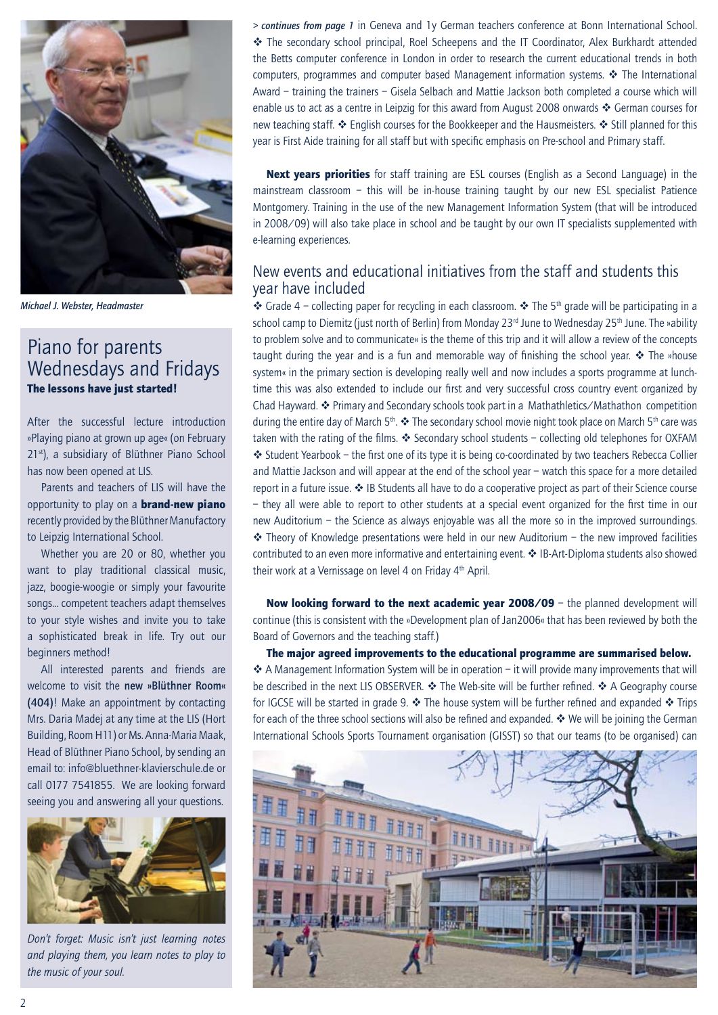

*Michael J. Webster, Headmaster*

#### Piano for parents Wednesdays and Fridays The lessons have just started!

After the successful lecture introduction »Playing piano at grown up age« (on February 21<sup>st</sup>), a subsidiary of Blüthner Piano School has now been opened at LIS.

Parents and teachers of LIS will have the opportunity to play on a **brand-new piano** recently provided by the Blüthner Manufactory to Leipzig International School.

Whether you are 20 or 80, whether you want to play traditional classical music, jazz, boogie-woogie or simply your favourite songs… competent teachers adapt themselves to your style wishes and invite you to take a sophisticated break in life. Try out our beginners method!

All interested parents and friends are welcome to visit the new »Blüthner Room« (404)! Make an appointment by contacting Mrs. Daria Madej at any time at the LIS (Hort Building, Room H11) or Ms. Anna-Maria Maak, Head of Blüthner Piano School, by sending an email to: info@bluethner-klavierschule.de or call 0177 7541855. We are looking forward seeing you and answering all your questions.



*Don't forget: Music isn't just learning notes and playing them, you learn notes to play to the music of your soul.*

*> continues from page 1* in Geneva and 1y German teachers conference at Bonn International School. v The secondary school principal, Roel Scheepens and the IT Coordinator, Alex Burkhardt attended the Betts computer conference in London in order to research the current educational trends in both computers, programmes and computer based Management information systems.  $\cdot \cdot$  The International Award – training the trainers – Gisela Selbach and Mattie Jackson both completed a course which will enable us to act as a centre in Leipzig for this award from August 2008 onwards  $\cdot$  German courses for new teaching staff. ❖ English courses for the Bookkeeper and the Hausmeisters. ❖ Still planned for this year is First Aide training for all staff but with specific emphasis on Pre-school and Primary staff.

Next years priorities for staff training are ESL courses (English as a Second Language) in the mainstream classroom – this will be in-house training taught by our new ESL specialist Patience Montgomery. Training in the use of the new Management Information System (that will be introduced in 2008/09) will also take place in school and be taught by our own IT specialists supplemented with e-learning experiences.

#### New events and educational initiatives from the staff and students this year have included

 $\cdot$  Grade 4 – collecting paper for recycling in each classroom.  $\cdot$  The 5<sup>th</sup> grade will be participating in a school camp to Diemitz (just north of Berlin) from Monday 23<sup>rd</sup> June to Wednesday 25<sup>th</sup> June. The »ability to problem solve and to communicate« is the theme of this trip and it will allow a review of the concepts taught during the year and is a fun and memorable way of finishing the school year.  $\cdot \cdot$  The »house system« in the primary section is developing really well and now includes a sports programme at lunchtime this was also extended to include our first and very successful cross country event organized by Chad Hayward.  $\triangleleft$  Primary and Secondary schools took part in a Mathathletics/Mathathon competition during the entire day of March 5<sup>th</sup>.  $\clubsuit$  The secondary school movie night took place on March 5<sup>th</sup> care was taken with the rating of the films.  $\cdot$  Secondary school students – collecting old telephones for OXFAM v Student Yearbook – the first one of its type it is being co-coordinated by two teachers Rebecca Collier and Mattie Jackson and will appear at the end of the school year – watch this space for a more detailed report in a future issue.  $\clubsuit$  IB Students all have to do a cooperative project as part of their Science course – they all were able to report to other students at a special event organized for the first time in our new Auditorium – the Science as always enjoyable was all the more so in the improved surroundings.  $\cdot$  Theory of Knowledge presentations were held in our new Auditorium – the new improved facilities contributed to an even more informative and entertaining event.  $\cdot$  IB-Art-Diploma students also showed their work at a Vernissage on level 4 on Friday 4<sup>th</sup> April.

Now looking forward to the next academic year 2008/09 - the planned development will continue (this is consistent with the »Development plan of Jan2006« that has been reviewed by both the Board of Governors and the teaching staff.)

The major agreed improvements to the educational programme are summarised below.  $\clubsuit$  A Management Information System will be in operation – it will provide many improvements that will be described in the next LIS OBSERVER.  $\clubsuit$  The Web-site will be further refined.  $\clubsuit$  A Geography course for IGCSE will be started in grade 9.  $\cdot \cdot$  The house system will be further refined and expanded  $\cdot \cdot$  Trips for each of the three school sections will also be refined and expanded.  $\cdot\cdot\cdot$  We will be joining the German International Schools Sports Tournament organisation (GISST) so that our teams (to be organised) can

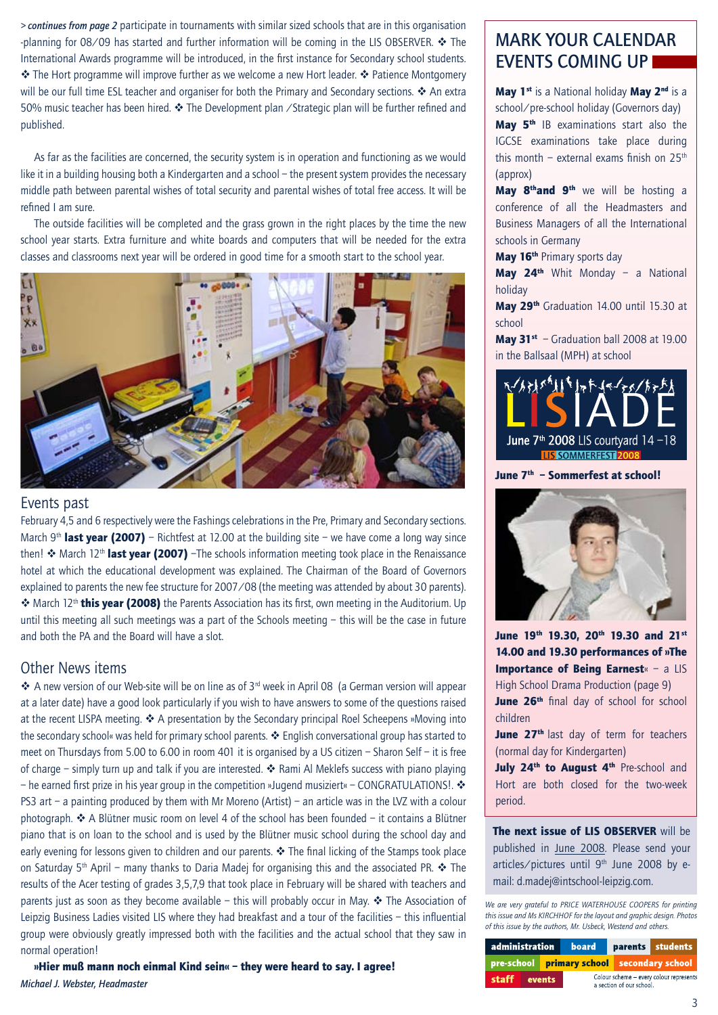*> continues from page 2* participate in tournaments with similar sized schools that are in this organisation -planning for 08/09 has started and further information will be coming in the LIS OBSERVER.  $\div$  The International Awards programme will be introduced, in the first instance for Secondary school students. \* The Hort programme will improve further as we welcome a new Hort leader. \* Patience Montgomery will be our full time ESL teacher and organiser for both the Primary and Secondary sections.  $\clubsuit$  An extra 50% music teacher has been hired.  $\cdot \cdot$  The Development plan / Strategic plan will be further refined and published.

As far as the facilities are concerned, the security system is in operation and functioning as we would like it in a building housing both a Kindergarten and a school – the present system provides the necessary middle path between parental wishes of total security and parental wishes of total free access. It will be refined I am sure.

The outside facilities will be completed and the grass grown in the right places by the time the new school year starts. Extra furniture and white boards and computers that will be needed for the extra classes and classrooms next year will be ordered in good time for a smooth start to the school year.



#### Events past

February 4,5 and 6 respectively were the Fashings celebrations in the Pre, Primary and Secondary sections. March 9<sup>th</sup> last year (2007) – Richtfest at 12.00 at the building site – we have come a long way since then!  $\cdot$  March 12<sup>th</sup> last year (2007) –The schools information meeting took place in the Renaissance hotel at which the educational development was explained. The Chairman of the Board of Governors explained to parents the new fee structure for 2007/08 (the meeting was attended by about 30 parents).  $\cdot$  March 12<sup>th</sup> this vear (2008) the Parents Association has its first, own meeting in the Auditorium. Up until this meeting all such meetings was a part of the Schools meeting – this will be the case in future and both the PA and the Board will have a slot.

#### Other News items

 $\clubsuit$  A new version of our Web-site will be on line as of 3<sup>rd</sup> week in April 08 (a German version will appear at a later date) have a good look particularly if you wish to have answers to some of the questions raised at the recent LISPA meeting.  $\clubsuit$  A presentation by the Secondary principal Roel Scheepens »Moving into the secondary school« was held for primary school parents.  $\cdot \cdot$  English conversational group has started to meet on Thursdays from 5.00 to 6.00 in room 401 it is organised by a US citizen – Sharon Self – it is free of charge – simply turn up and talk if you are interested.  $\cdot$  Rami Al Meklefs success with piano playing – he earned first prize in his year group in the competition »Jugend musiziert« – CONGRATULATIONS!.  $\cdot$ PS3 art – a painting produced by them with Mr Moreno (Artist) – an article was in the LVZ with a colour photograph.  $\triangleleft$  A Blütner music room on level 4 of the school has been founded – it contains a Blütner piano that is on loan to the school and is used by the Blütner music school during the school day and early evening for lessons given to children and our parents.  $\clubsuit$  The final licking of the Stamps took place on Saturday 5<sup>th</sup> April – many thanks to Daria Madej for organising this and the associated PR.  $\cdot \cdot$  The results of the Acer testing of grades 3,5,7,9 that took place in February will be shared with teachers and parents just as soon as they become available – this will probably occur in May.  $\triangle$  The Association of Leipzig Business Ladies visited LIS where they had breakfast and a tour of the facilities – this influential group were obviously greatly impressed both with the facilities and the actual school that they saw in normal operation!

»Hier muß mann noch einmal Kind sein« – they were heard to say. I agree! *Michael J. Webster, Headmaster*

### MARK YOUR CALENDAR EVENTS COMING UP

May 1<sup>st</sup> is a National holiday May 2<sup>nd</sup> is a school/pre-school holiday (Governors day)

May 5<sup>th</sup> IB examinations start also the IGCSE examinations take place during this month – external exams finish on  $25<sup>th</sup>$ (approx)

May 8<sup>th</sup>and 9<sup>th</sup> we will be hosting a conference of all the Headmasters and Business Managers of all the International schools in Germany

May 16<sup>th</sup> Primary sports day

**May 24<sup>th</sup>** Whit Monday – a National holiday

May 29th Graduation 14.00 until 15.30 at school

**May 31**<sup>st</sup> – Graduation ball 2008 at 19.00 in the Ballsaal (MPH) at school



June 7<sup>th</sup> - Sommerfest at school!



June 19th 19.30, 20th 19.30 and 21st 14.00 and 19.30 performances of »The Importance of Being Earnest« - a LIS High School Drama Production (page 9) June 26<sup>th</sup> final day of school for school children

June 27<sup>th</sup> last day of term for teachers (normal day for Kindergarten)

July 24<sup>th</sup> to August 4<sup>th</sup> Pre-school and Hort are both closed for the two-week period.

The next issue of LIS OBSERVER will be published in June 2008. Please send your articles/pictures until 9<sup>th</sup> June 2008 by email: d.madej@intschool-leipzig.com.

*We are very grateful to PRICE WATERHOUSE COOPERS for printing this issue and Ms KIRCHHOF for the layout and graphic design. Photos of this issue by the authors, Mr. Usbeck, Westend and others.*

| administration |              | board |                                                                    |                                            | parents students |  |
|----------------|--------------|-------|--------------------------------------------------------------------|--------------------------------------------|------------------|--|
|                |              |       |                                                                    | pre-school primary school secondary school |                  |  |
|                | staff events |       | Colour scheme - every colour represent<br>a section of our school. |                                            |                  |  |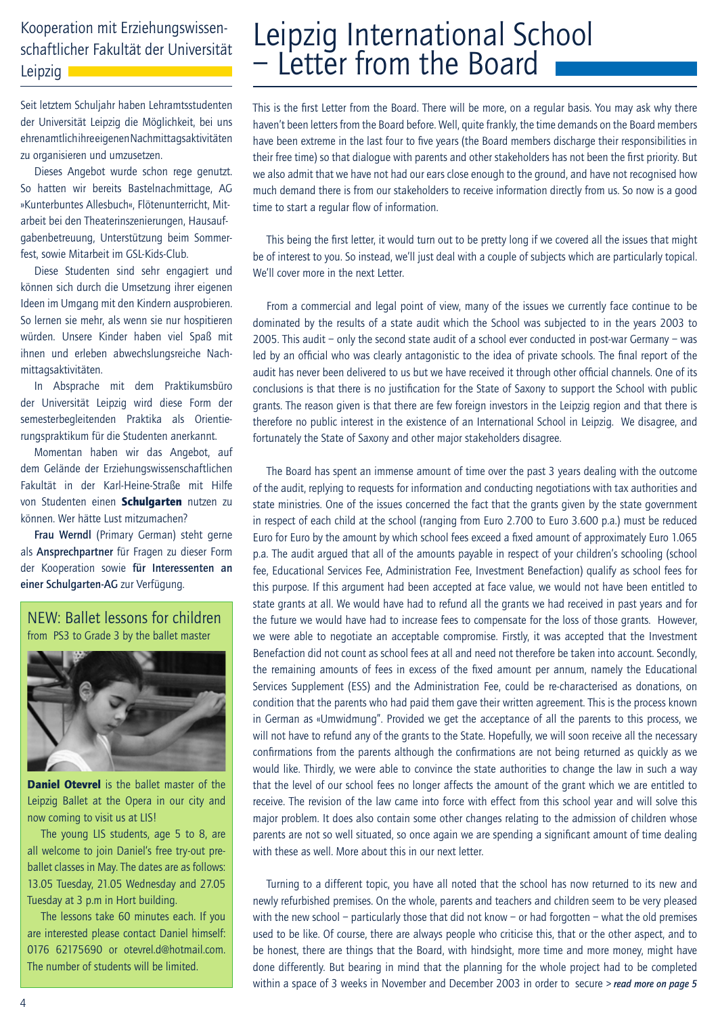### Kooperation mit Erziehungswissenschaftlicher Fakultät der Universität Leipzig I

Seit letztem Schuljahr haben Lehramtsstudenten der Universität Leipzig die Möglichkeit, bei uns ehrenamtlich ihre eigenen Nachmittagsaktivitäten zu organisieren und umzusetzen.

Dieses Angebot wurde schon rege genutzt. So hatten wir bereits Bastelnachmittage, AG »Kunterbuntes Allesbuch«, Flötenunterricht, Mitarbeit bei den Theaterinszenierungen, Hausaufgabenbetreuung, Unterstützung beim Sommerfest, sowie Mitarbeit im GSL-Kids-Club.

Diese Studenten sind sehr engagiert und können sich durch die Umsetzung ihrer eigenen Ideen im Umgang mit den Kindern ausprobieren. So lernen sie mehr, als wenn sie nur hospitieren würden. Unsere Kinder haben viel Spaß mit ihnen und erleben abwechslungsreiche Nachmittagsaktivitäten.

In Absprache mit dem Praktikumsbüro der Universität Leipzig wird diese Form der semesterbegleitenden Praktika als Orientierungspraktikum für die Studenten anerkannt.

Momentan haben wir das Angebot, auf dem Gelände der Erziehungswissenschaftlichen Fakultät in der Karl-Heine-Straße mit Hilfe von Studenten einen Schulgarten nutzen zu können. Wer hätte Lust mitzumachen?

Frau Werndl (Primary German) steht gerne als Ansprechpartner für Fragen zu dieser Form der Kooperation sowie für Interessenten an einer Schulgarten-AG zur Verfügung.

#### NEW: Ballet lessons for children from PS3 to Grade 3 by the ballet master



**Daniel Otevrel** is the ballet master of the Leipzig Ballet at the Opera in our city and now coming to visit us at LIS!

The young LIS students, age 5 to 8, are all welcome to join Daniel's free try-out preballet classes in May. The dates are as follows: 13.05 Tuesday, 21.05 Wednesday and 27.05 Tuesday at 3 p.m in Hort building.

The lessons take 60 minutes each. If you are interested please contact Daniel himself: 0176 62175690 or otevrel.d@hotmail.com. The number of students will be limited.

## Leipzig International School – Letter from the Board

This is the first Letter from the Board. There will be more, on a regular basis. You may ask why there haven't been letters from the Board before. Well, quite frankly, the time demands on the Board members have been extreme in the last four to five years (the Board members discharge their responsibilities in their free time) so that dialogue with parents and other stakeholders has not been the first priority. But we also admit that we have not had our ears close enough to the ground, and have not recognised how much demand there is from our stakeholders to receive information directly from us. So now is a good time to start a regular flow of information.

This being the first letter, it would turn out to be pretty long if we covered all the issues that might be of interest to you. So instead, we'll just deal with a couple of subjects which are particularly topical. We'll cover more in the next Letter.

From a commercial and legal point of view, many of the issues we currently face continue to be dominated by the results of a state audit which the School was subjected to in the years 2003 to 2005. This audit – only the second state audit of a school ever conducted in post-war Germany – was led by an official who was clearly antagonistic to the idea of private schools. The final report of the audit has never been delivered to us but we have received it through other official channels. One of its conclusions is that there is no justification for the State of Saxony to support the School with public grants. The reason given is that there are few foreign investors in the Leipzig region and that there is therefore no public interest in the existence of an International School in Leipzig. We disagree, and fortunately the State of Saxony and other major stakeholders disagree.

The Board has spent an immense amount of time over the past 3 years dealing with the outcome of the audit, replying to requests for information and conducting negotiations with tax authorities and state ministries. One of the issues concerned the fact that the grants given by the state government in respect of each child at the school (ranging from Euro 2.700 to Euro 3.600 p.a.) must be reduced Euro for Euro by the amount by which school fees exceed a fixed amount of approximately Euro 1.065 p.a. The audit argued that all of the amounts payable in respect of your children's schooling (school fee, Educational Services Fee, Administration Fee, Investment Benefaction) qualify as school fees for this purpose. If this argument had been accepted at face value, we would not have been entitled to state grants at all. We would have had to refund all the grants we had received in past years and for the future we would have had to increase fees to compensate for the loss of those grants. However, we were able to negotiate an acceptable compromise. Firstly, it was accepted that the Investment Benefaction did not count as school fees at all and need not therefore be taken into account. Secondly, the remaining amounts of fees in excess of the fixed amount per annum, namely the Educational Services Supplement (ESS) and the Administration Fee, could be re-characterised as donations, on condition that the parents who had paid them gave their written agreement. This is the process known in German as «Umwidmung". Provided we get the acceptance of all the parents to this process, we will not have to refund any of the grants to the State. Hopefully, we will soon receive all the necessary confirmations from the parents although the confirmations are not being returned as quickly as we would like. Thirdly, we were able to convince the state authorities to change the law in such a way that the level of our school fees no longer affects the amount of the grant which we are entitled to receive. The revision of the law came into force with effect from this school year and will solve this major problem. It does also contain some other changes relating to the admission of children whose parents are not so well situated, so once again we are spending a significant amount of time dealing with these as well. More about this in our next letter.

Turning to a different topic, you have all noted that the school has now returned to its new and newly refurbished premises. On the whole, parents and teachers and children seem to be very pleased with the new school – particularly those that did not know – or had forgotten – what the old premises used to be like. Of course, there are always people who criticise this, that or the other aspect, and to be honest, there are things that the Board, with hindsight, more time and more money, might have done differently. But bearing in mind that the planning for the whole project had to be completed within a space of 3 weeks in November and December 2003 in order to secure *> read more on page 5*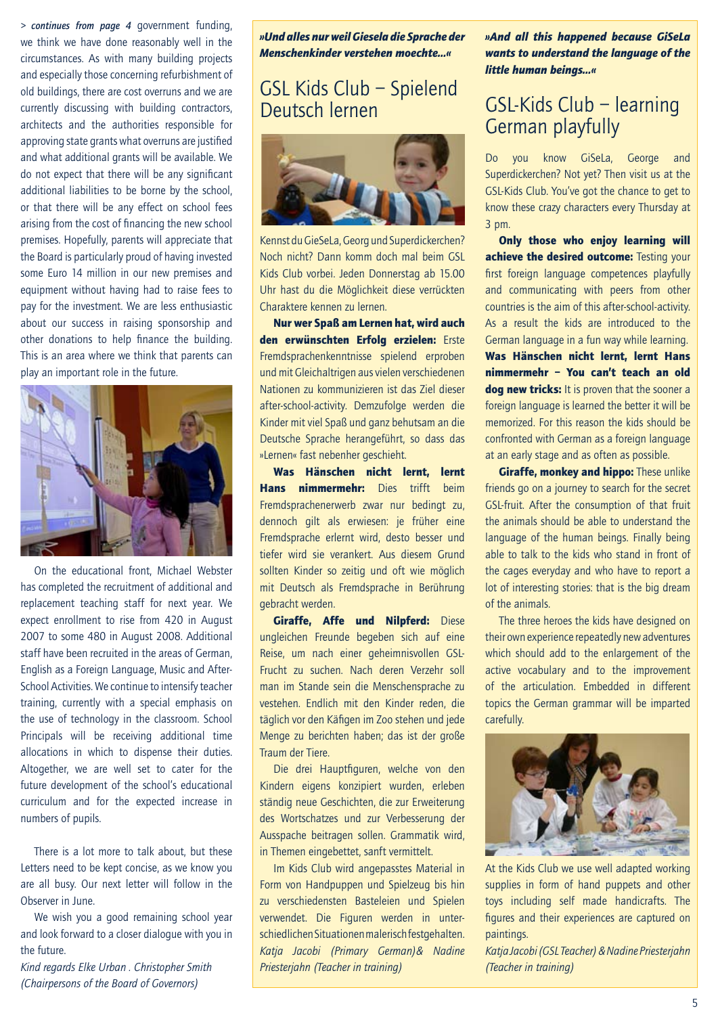*> continues from page 4* government funding, we think we have done reasonably well in the circumstances. As with many building projects and especially those concerning refurbishment of old buildings, there are cost overruns and we are currently discussing with building contractors, architects and the authorities responsible for approving state grants what overruns are justified and what additional grants will be available. We do not expect that there will be any significant additional liabilities to be borne by the school, or that there will be any effect on school fees arising from the cost of financing the new school premises. Hopefully, parents will appreciate that the Board is particularly proud of having invested some Euro 14 million in our new premises and equipment without having had to raise fees to pay for the investment. We are less enthusiastic about our success in raising sponsorship and other donations to help finance the building. This is an area where we think that parents can play an important role in the future.



On the educational front, Michael Webster has completed the recruitment of additional and replacement teaching staff for next year. We expect enrollment to rise from 420 in August 2007 to some 480 in August 2008. Additional staff have been recruited in the areas of German, English as a Foreign Language, Music and After-School Activities. We continue to intensify teacher training, currently with a special emphasis on the use of technology in the classroom. School Principals will be receiving additional time allocations in which to dispense their duties. Altogether, we are well set to cater for the future development of the school's educational curriculum and for the expected increase in numbers of pupils.

There is a lot more to talk about, but these Letters need to be kept concise, as we know you are all busy. Our next letter will follow in the Observer in June.

We wish you a good remaining school year and look forward to a closer dialogue with you in the future.

*Kind regards Elke Urban . Christopher Smith (Chairpersons of the Board of Governors)* 

*»Und alles nur weil Giesela die Sprache der Menschenkinder verstehen moechte…«*

### GSL Kids Club – Spielend Deutsch lernen



Kennst du GieSeLa, Georg und Superdickerchen? Noch nicht? Dann komm doch mal beim GSL Kids Club vorbei. Jeden Donnerstag ab 15.00 Uhr hast du die Möglichkeit diese verrückten Charaktere kennen zu lernen.

Nur wer Spaß am Lernen hat, wird auch den erwünschten Erfolg erzielen: Erste Fremdsprachenkenntnisse spielend erproben und mit Gleichaltrigen aus vielen verschiedenen Nationen zu kommunizieren ist das Ziel dieser after-school-activity. Demzufolge werden die Kinder mit viel Spaß und ganz behutsam an die Deutsche Sprache herangeführt, so dass das »Lernen« fast nebenher geschieht.

Was Hänschen nicht lernt, lernt Hans nimmermehr: Dies trifft beim Fremdsprachenerwerb zwar nur bedingt zu, dennoch gilt als erwiesen: je früher eine Fremdsprache erlernt wird, desto besser und tiefer wird sie verankert. Aus diesem Grund sollten Kinder so zeitig und oft wie möglich mit Deutsch als Fremdsprache in Berührung gebracht werden.

Giraffe, Affe und Nilpferd: Diese ungleichen Freunde begeben sich auf eine Reise, um nach einer geheimnisvollen GSL-Frucht zu suchen. Nach deren Verzehr soll man im Stande sein die Menschensprache zu vestehen. Endlich mit den Kinder reden, die täglich vor den Käfigen im Zoo stehen und jede Menge zu berichten haben; das ist der große Traum der Tiere.

Die drei Hauptfiguren, welche von den Kindern eigens konzipiert wurden, erleben ständig neue Geschichten, die zur Erweiterung des Wortschatzes und zur Verbesserung der Ausspache beitragen sollen. Grammatik wird, in Themen eingebettet, sanft vermittelt.

Im Kids Club wird angepasstes Material in Form von Handpuppen und Spielzeug bis hin zu verschiedensten Basteleien und Spielen verwendet. Die Figuren werden in unterschiedlichen Situationen malerisch festgehalten. *Katja Jacobi (Primary German)& Nadine Priesterjahn (Teacher in training)*

*»And all this happened because GiSeLa wants to understand the language of the little human beings…«*

## GSL-Kids Club – learning German playfully

Do you know GiSeLa, George and Superdickerchen? Not yet? Then visit us at the GSL-Kids Club. You've got the chance to get to know these crazy characters every Thursday at 3 pm.

Only those who enjoy learning will achieve the desired outcome: Testing your first foreign language competences playfully and communicating with peers from other countries is the aim of this after-school-activity. As a result the kids are introduced to the German language in a fun way while learning. Was Hänschen nicht lernt, lernt Hans nimmermehr – You can't teach an old dog new tricks: It is proven that the sooner a foreign language is learned the better it will be memorized. For this reason the kids should be confronted with German as a foreign language at an early stage and as often as possible.

**Giraffe, monkey and hippo:** These unlike friends go on a journey to search for the secret GSL-fruit. After the consumption of that fruit the animals should be able to understand the language of the human beings. Finally being able to talk to the kids who stand in front of the cages everyday and who have to report a lot of interesting stories: that is the big dream of the animals.

The three heroes the kids have designed on their own experience repeatedly new adventures which should add to the enlargement of the active vocabulary and to the improvement of the articulation. Embedded in different topics the German grammar will be imparted carefully.



At the Kids Club we use well adapted working supplies in form of hand puppets and other toys including self made handicrafts. The figures and their experiences are captured on paintings.

*Katja Jacobi (GSL Teacher) & Nadine Priesterjahn (Teacher in training)*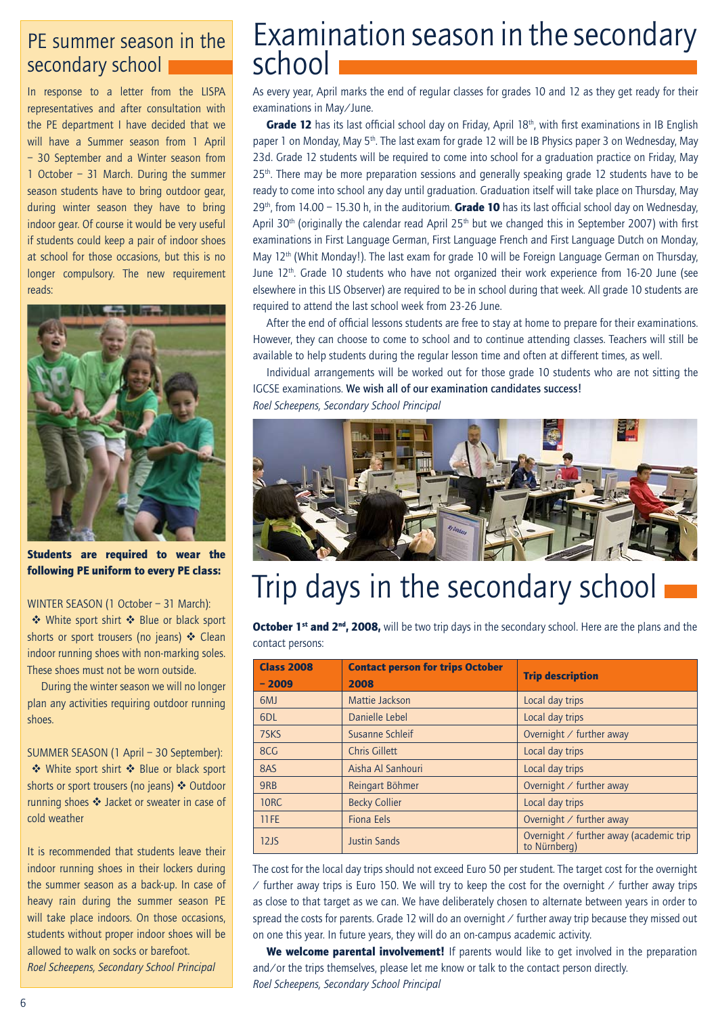## PE summer season in the secondary school

In response to a letter from the LISPA representatives and after consultation with the PE department I have decided that we will have a Summer season from 1 April – 30 September and a Winter season from 1 October – 31 March. During the summer season students have to bring outdoor gear, during winter season they have to bring indoor gear. Of course it would be very useful if students could keep a pair of indoor shoes at school for those occasions, but this is no longer compulsory. The new requirement reads:



Students are required to wear the following PE uniform to every PE class:

#### WINTER SEASON (1 October - 31 March):

◆ White sport shirt ◆ Blue or black sport shorts or sport trousers (no jeans)  $\cdot$  Clean indoor running shoes with non-marking soles. These shoes must not be worn outside.

During the winter season we will no longer plan any activities requiring outdoor running shoes.

SUMMER SEASON (1 April - 30 September): ◆ White sport shirt ◆ Blue or black sport shorts or sport trousers (no jeans) ❖ Outdoor running shoes  $\triangleleft$  Jacket or sweater in case of cold weather

It is recommended that students leave their indoor running shoes in their lockers during the summer season as a back-up. In case of heavy rain during the summer season PE will take place indoors. On those occasions, students without proper indoor shoes will be allowed to walk on socks or barefoot. *Roel Scheepens, Secondary School Principal*

## Examination season in the secondary school

As every year, April marks the end of regular classes for grades 10 and 12 as they get ready for their examinations in May/June.

Grade 12 has its last official school day on Friday, April 18<sup>th</sup>, with first examinations in IB English paper 1 on Monday, May 5<sup>th</sup>. The last exam for grade 12 will be IB Physics paper 3 on Wednesday, May 23d. Grade 12 students will be required to come into school for a graduation practice on Friday, May 25<sup>th</sup>. There may be more preparation sessions and generally speaking grade 12 students have to be ready to come into school any day until graduation. Graduation itself will take place on Thursday, May 29<sup>th</sup>, from 14.00 – 15.30 h, in the auditorium. **Grade 10** has its last official school day on Wednesday, April 30th (originally the calendar read April 25th but we changed this in September 2007) with first examinations in First Language German, First Language French and First Language Dutch on Monday, May 12<sup>th</sup> (Whit Monday!). The last exam for grade 10 will be Foreign Language German on Thursday, June 12th. Grade 10 students who have not organized their work experience from 16-20 June (see elsewhere in this LIS Observer) are required to be in school during that week. All grade 10 students are required to attend the last school week from 23-26 June.

After the end of official lessons students are free to stay at home to prepare for their examinations. However, they can choose to come to school and to continue attending classes. Teachers will still be available to help students during the regular lesson time and often at different times, as well.

Individual arrangements will be worked out for those grade 10 students who are not sitting the IGCSE examinations. We wish all of our examination candidates success! *Roel Scheepens, Secondary School Principal*



# Trip days in the secondary school

October 1<sup>st</sup> and 2<sup>nd</sup>, 2008, will be two trip days in the secondary school. Here are the plans and the contact persons:

| <b>Class 2008</b><br>$-2009$ | <b>Contact person for trips October</b><br>2008 | <b>Trip description</b>                                        |
|------------------------------|-------------------------------------------------|----------------------------------------------------------------|
| 6 <sub>MJ</sub>              | Mattie Jackson                                  | Local day trips                                                |
| 6 <sub>DL</sub>              | Danielle Lebel                                  | Local day trips                                                |
| 7SKS                         | Susanne Schleif                                 | Overnight $\angle$ further away                                |
| 8CG                          | Chris Gillett                                   | Local day trips                                                |
| 8AS                          | Aisha Al Sanhouri                               | Local day trips                                                |
| 9RB                          | Reingart Böhmer                                 | Overnight $\angle$ further away                                |
| <b>10RC</b>                  | <b>Becky Collier</b>                            | Local day trips                                                |
| <b>11FE</b>                  | Fiona Eels                                      | Overnight $\angle$ further away                                |
| 12J <sub>S</sub>             | <b>Justin Sands</b>                             | Overnight $\angle$ further away (academic trip<br>to Nürnberg) |

The cost for the local day trips should not exceed Euro 50 per student. The target cost for the overnight  $\ell$  further away trips is Euro 150. We will try to keep the cost for the overnight  $\ell$  further away trips as close to that target as we can. We have deliberately chosen to alternate between years in order to spread the costs for parents. Grade 12 will do an overnight / further away trip because they missed out on one this year. In future years, they will do an on-campus academic activity.

We welcome parental involvement! If parents would like to get involved in the preparation and/or the trips themselves, please let me know or talk to the contact person directly. *Roel Scheepens, Secondary School Principal*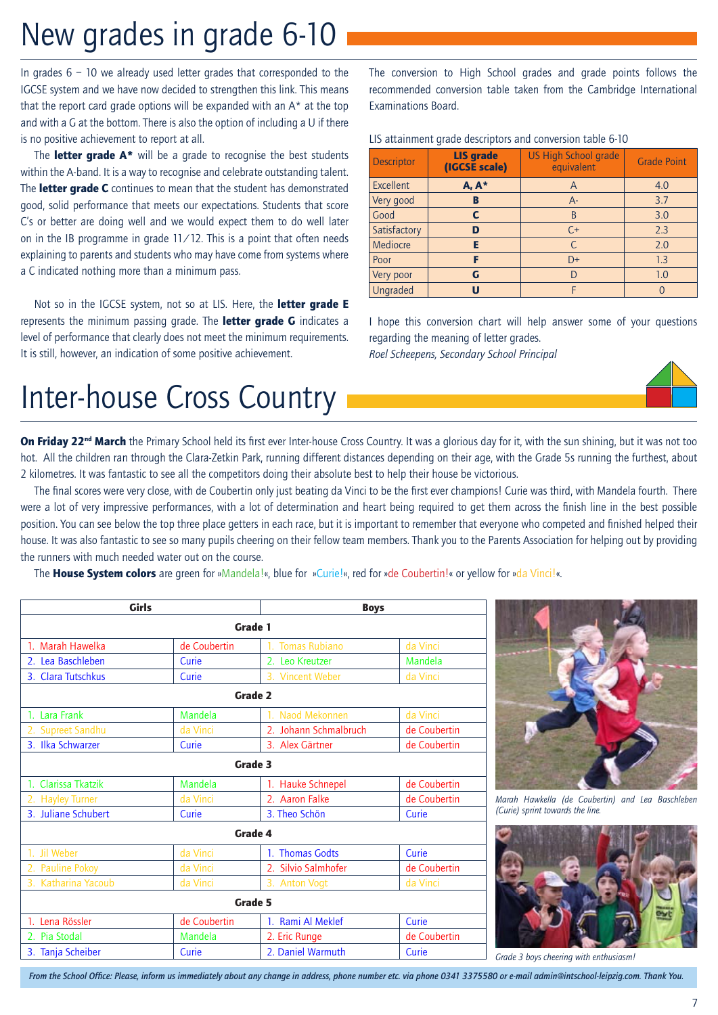## New grades in grade 6-10

In grades  $6 - 10$  we already used letter grades that corresponded to the IGCSE system and we have now decided to strengthen this link. This means that the report card grade options will be expanded with an  $A^*$  at the top and with a G at the bottom. There is also the option of including a U if there is no positive achievement to report at all.

The **letter grade**  $A^*$  will be a grade to recognise the best students within the A-band. It is a way to recognise and celebrate outstanding talent. The **letter grade C** continues to mean that the student has demonstrated good, solid performance that meets our expectations. Students that score C's or better are doing well and we would expect them to do well later on in the IB programme in grade  $11/12$ . This is a point that often needs explaining to parents and students who may have come from systems where a C indicated nothing more than a minimum pass.

Not so in the IGCSE system, not so at LIS. Here, the letter grade E represents the minimum passing grade. The letter grade G indicates a level of performance that clearly does not meet the minimum requirements. It is still, however, an indication of some positive achievement.

The conversion to High School grades and grade points follows the recommended conversion table taken from the Cambridge International Examinations Board.

#### LIS attainment grade descriptors and conversion table 6-10

| <b>Descriptor</b> | <b>LIS</b> grade<br>(IGCSE scale) | <b>US High School grade</b><br>equivalent | <b>Grade Point</b> |
|-------------------|-----------------------------------|-------------------------------------------|--------------------|
| Excellent         | $A, A^*$                          | A                                         | 4.0                |
| Very good         | в                                 | $A -$                                     | 3.7                |
| Good              | C                                 | B                                         | 3.0                |
| Satisfactory      | D                                 | $C+$                                      | 2.3                |
| Mediocre          | Е                                 | C                                         | 2.0                |
| Poor              | F                                 | $D+$                                      | 1.3                |
| Very poor         | G                                 | D                                         | 1.0                |
| Ungraded          | U                                 | F                                         |                    |

I hope this conversion chart will help answer some of your questions regarding the meaning of letter grades. *Roel Scheepens, Secondary School Principal*

# Inter-house Cross Country

On Friday 22<sup>nd</sup> March the Primary School held its first ever Inter-house Cross Country. It was a glorious day for it, with the sun shining, but it was not too hot. All the children ran through the Clara-Zetkin Park, running different distances depending on their age, with the Grade 5s running the furthest, about 2 kilometres. It was fantastic to see all the competitors doing their absolute best to help their house be victorious.

The final scores were very close, with de Coubertin only just beating da Vinci to be the first ever champions! Curie was third, with Mandela fourth. There were a lot of very impressive performances, with a lot of determination and heart being required to get them across the finish line in the best possible position. You can see below the top three place getters in each race, but it is important to remember that everyone who competed and finished helped their house. It was also fantastic to see so many pupils cheering on their fellow team members. Thank you to the Parents Association for helping out by providing the runners with much needed water out on the course.

The House System colors are green for »Mandela!«, blue for »Curie!«, red for »de Coubertin!« or yellow for »da Vinci!«.

| <b>Girls</b>        |              | <b>Boys</b>           |              |  |  |  |  |
|---------------------|--------------|-----------------------|--------------|--|--|--|--|
| Grade 1             |              |                       |              |  |  |  |  |
| 1. Marah Hawelka    | de Coubertin | 1. Tomas Rubiano      | da Vinci     |  |  |  |  |
| 2. Lea Baschleben   | Curie        | 2. Leo Kreutzer       | Mandela      |  |  |  |  |
| 3. Clara Tutschkus  | Curie        | 3. Vincent Weber      | da Vinci     |  |  |  |  |
|                     |              | Grade 2               |              |  |  |  |  |
| 1. Lara Frank       | Mandela      | Naod Mekonnen         | da Vinci     |  |  |  |  |
| 2. Supreet Sandhu   | da Vinci     | 2. Johann Schmalbruch | de Coubertin |  |  |  |  |
| 3. Ilka Schwarzer   | Curie        | 3. Alex Gärtner       | de Coubertin |  |  |  |  |
| Grade 3             |              |                       |              |  |  |  |  |
| 1. Clarissa Tkatzik | Mandela      | 1. Hauke Schnepel     | de Coubertin |  |  |  |  |
| 2. Hayley Turner    | da Vinci     | 2. Aaron Falke        | de Coubertin |  |  |  |  |
| 3. Juliane Schubert | Curie        | 3. Theo Schön         | Curie        |  |  |  |  |
|                     |              | Grade 4               |              |  |  |  |  |
| 1. Jil Weber        | da Vinci     | 1. Thomas Godts       | Curie        |  |  |  |  |
| 2. Pauline Pokoy    | da Vinci     | 2. Silvio Salmhofer   | de Coubertin |  |  |  |  |
| 3. Katharina Yacoub | da Vinci     | 3. Anton Vogt         | da Vinci     |  |  |  |  |
| Grade 5             |              |                       |              |  |  |  |  |
| 1. Lena Rössler     | de Coubertin | 1. Rami Al Meklef     | Curie        |  |  |  |  |
| 2. Pia Stodal       | Mandela      | 2. Eric Runge         | de Coubertin |  |  |  |  |
| 3. Tanja Scheiber   | Curie        | 2. Daniel Warmuth     | Curie        |  |  |  |  |



*Marah Hawkella (de Coubertin) and Lea Baschleben (Curie) sprint towards the line.*



*Grade 3 boys cheering with enthusiasm!*

*From the School Office: Please, inform us immediately about any change in address, phone number etc. via phone 0341 3375580 or e-mail admin@intschool-leipzig.com. Thank You.*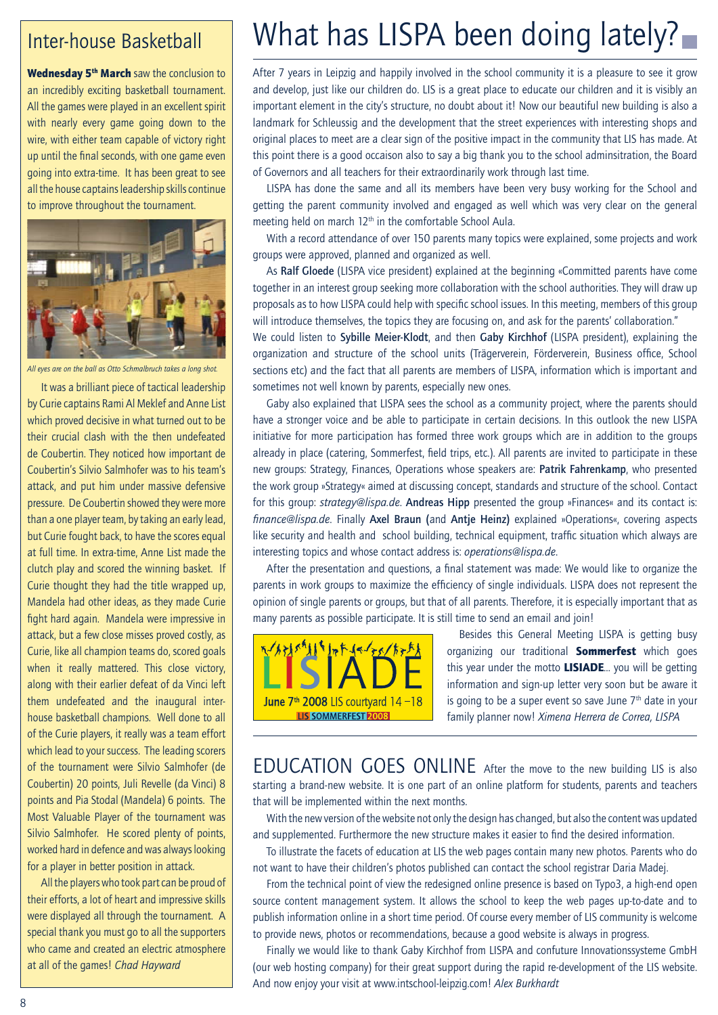### Inter-house Basketball

Wednesday 5<sup>th</sup> March saw the conclusion to an incredibly exciting basketball tournament. All the games were played in an excellent spirit with nearly every game going down to the wire, with either team capable of victory right up until the final seconds, with one game even going into extra-time. It has been great to see all the house captains leadership skills continue to improve throughout the tournament.



*All eyes are on the ball as Otto Schmalbruch takes a long shot.*

It was a brilliant piece of tactical leadership by Curie captains Rami Al Meklef and Anne List which proved decisive in what turned out to be their crucial clash with the then undefeated de Coubertin. They noticed how important de Coubertin's Silvio Salmhofer was to his team's attack, and put him under massive defensive pressure. De Coubertin showed they were more than a one player team, by taking an early lead, but Curie fought back, to have the scores equal at full time. In extra-time, Anne List made the clutch play and scored the winning basket. If Curie thought they had the title wrapped up, Mandela had other ideas, as they made Curie fight hard again. Mandela were impressive in attack, but a few close misses proved costly, as Curie, like all champion teams do, scored goals when it really mattered. This close victory, along with their earlier defeat of da Vinci left them undefeated and the inaugural interhouse basketball champions. Well done to all of the Curie players, it really was a team effort which lead to your success. The leading scorers of the tournament were Silvio Salmhofer (de Coubertin) 20 points, Juli Revelle (da Vinci) 8 points and Pia Stodal (Mandela) 6 points. The Most Valuable Player of the tournament was Silvio Salmhofer. He scored plenty of points, worked hard in defence and was always looking for a player in better position in attack.

All the players who took part can be proud of their efforts, a lot of heart and impressive skills were displayed all through the tournament. A special thank you must go to all the supporters who came and created an electric atmosphere at all of the games! *Chad Hayward*

# What has LISPA been doing lately?

After 7 years in Leipzig and happily involved in the school community it is a pleasure to see it grow and develop, just like our children do. LIS is a great place to educate our children and it is visibly an important element in the city's structure, no doubt about it! Now our beautiful new building is also a landmark for Schleussig and the development that the street experiences with interesting shops and original places to meet are a clear sign of the positive impact in the community that LIS has made. At this point there is a good occaison also to say a big thank you to the school adminsitration, the Board of Governors and all teachers for their extraordinarily work through last time.

LISPA has done the same and all its members have been very busy working for the School and getting the parent community involved and engaged as well which was very clear on the general meeting held on march  $12<sup>th</sup>$  in the comfortable School Aula.

With a record attendance of over 150 parents many topics were explained, some projects and work groups were approved, planned and organized as well.

As Ralf Gloede (LISPA vice president) explained at the beginning «Committed parents have come together in an interest group seeking more collaboration with the school authorities. They will draw up proposals as to how LISPA could help with specific school issues. In this meeting, members of this group will introduce themselves, the topics they are focusing on, and ask for the parents' collaboration."

We could listen to Sybille Meier-Klodt, and then Gaby Kirchhof (LISPA president), explaining the organization and structure of the school units (Trägerverein, Förderverein, Business office, School sections etc) and the fact that all parents are members of LISPA, information which is important and sometimes not well known by parents, especially new ones.

Gaby also explained that LISPA sees the school as a community project, where the parents should have a stronger voice and be able to participate in certain decisions. In this outlook the new LISPA initiative for more participation has formed three work groups which are in addition to the groups already in place (catering, Sommerfest, field trips, etc.). All parents are invited to participate in these new groups: Strategy, Finances, Operations whose speakers are: Patrik Fahrenkamp, who presented the work group »Strategy« aimed at discussing concept, standards and structure of the school. Contact for this group: *strategy@lispa.de*. Andreas Hipp presented the group »Finances« and its contact is: *finance@lispa.de*. Finally Axel Braun (and Antje Heinz) explained »Operations«, covering aspects like security and health and school building, technical equipment, traffic situation which always are interesting topics and whose contact address is: *operations@lispa.de*.

After the presentation and questions, a final statement was made: We would like to organize the parents in work groups to maximize the efficiency of single individuals. LISPA does not represent the opinion of single parents or groups, but that of all parents. Therefore, it is especially important that as many parents as possible participate. It is still time to send an email and join!



Besides this General Meeting LISPA is getting busy organizing our traditional **Sommerfest** which goes this year under the motto **LISIADE**... you will be getting information and sign-up letter very soon but be aware it is going to be a super event so save June  $7<sup>th</sup>$  date in your family planner now! *Ximena Herrera de Correa, LISPA*

EDUCATION GOES ONLINE After the move to the new building LIS is also starting a brand-new website. It is one part of an online platform for students, parents and teachers that will be implemented within the next months.

With the new version of the website not only the design has changed, but also the content was updated and supplemented. Furthermore the new structure makes it easier to find the desired information.

To illustrate the facets of education at LIS the web pages contain many new photos. Parents who do not want to have their children's photos published can contact the school registrar Daria Madej.

From the technical point of view the redesigned online presence is based on Typo3, a high-end open source content management system. It allows the school to keep the web pages up-to-date and to publish information online in a short time period. Of course every member of LIS community is welcome to provide news, photos or recommendations, because a good website is always in progress.

Finally we would like to thank Gaby Kirchhof from LISPA and confuture Innovationssysteme GmbH (our web hosting company) for their great support during the rapid re-development of the LIS website. And now enjoy your visit at www.intschool-leipzig.com! *Alex Burkhardt*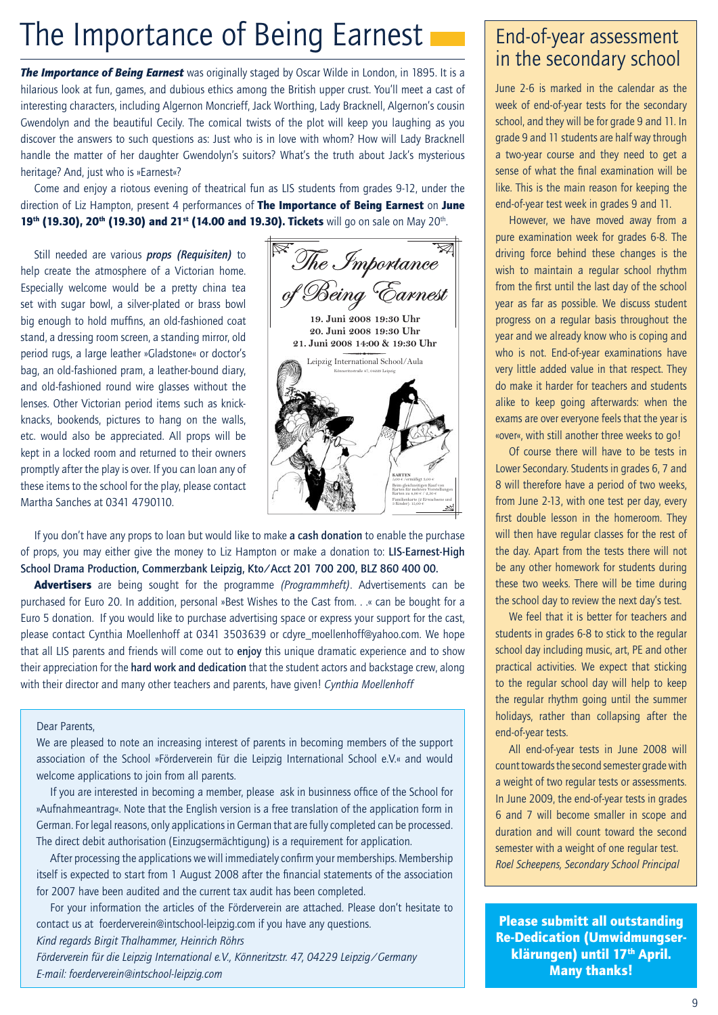# The Importance of Being Earnest

*The Importance of Being Earnest* was originally staged by Oscar Wilde in London, in 1895. It is a hilarious look at fun, games, and dubious ethics among the British upper crust. You'll meet a cast of interesting characters, including Algernon Moncrieff, Jack Worthing, Lady Bracknell, Algernon's cousin Gwendolyn and the beautiful Cecily. The comical twists of the plot will keep you laughing as you discover the answers to such questions as: Just who is in love with whom? How will Lady Bracknell handle the matter of her daughter Gwendolyn's suitors? What's the truth about Jack's mysterious heritage? And, just who is »Earnest«?

Come and enjoy a riotous evening of theatrical fun as LIS students from grades 9-12, under the direction of Liz Hampton, present 4 performances of The Importance of Being Earnest on June 19th (19.30), 20th (19.30) and 21st (14.00 and 19.30). Tickets will go on sale on May 20th.

Still needed are various *props (Requisiten)* to help create the atmosphere of a Victorian home. Especially welcome would be a pretty china tea set with sugar bowl, a silver-plated or brass bowl big enough to hold muffins, an old-fashioned coat stand, a dressing room screen, a standing mirror, old period rugs, a large leather »Gladstone« or doctor's bag, an old-fashioned pram, a leather-bound diary, and old-fashioned round wire glasses without the lenses. Other Victorian period items such as knickknacks, bookends, pictures to hang on the walls, etc. would also be appreciated. All props will be kept in a locked room and returned to their owners promptly after the play is over. If you can loan any of these items to the school for the play, please contact Martha Sanches at 0341 4790110.



If you don't have any props to loan but would like to make a cash donation to enable the purchase of props, you may either give the money to Liz Hampton or make a donation to: LIS-Earnest-High School Drama Production, Commerzbank Leipzig, Kto/Acct 201 700 200, BLZ 860 400 00.

Advertisers are being sought for the programme *(Programmheft)*. Advertisements can be purchased for Euro 20. In addition, personal »Best Wishes to the Cast from. . .« can be bought for a Euro 5 donation. If you would like to purchase advertising space or express your support for the cast, please contact Cynthia Moellenhoff at 0341 3503639 or cdyre\_moellenhoff@yahoo.com. We hope that all LIS parents and friends will come out to enjoy this unique dramatic experience and to show their appreciation for the hard work and dedication that the student actors and backstage crew, along with their director and many other teachers and parents, have given! *Cynthia Moellenhoff*

#### Dear Parents,

We are pleased to note an increasing interest of parents in becoming members of the support association of the School »Förderverein für die Leipzig International School e.V.« and would welcome applications to join from all parents.

If you are interested in becoming a member, please ask in businness office of the School for »Aufnahmeantrag«. Note that the English version is a free translation of the application form in German. For legal reasons, only applications in German that are fully completed can be processed. The direct debit authorisation (Einzugsermächtigung) is a requirement for application.

After processing the applications we will immediately confirm your memberships. Membership itself is expected to start from 1 August 2008 after the financial statements of the association for 2007 have been audited and the current tax audit has been completed.

For your information the articles of the Förderverein are attached. Please don't hesitate to contact us at foerderverein@intschool-leipzig.com if you have any questions.

*Kind regards Birgit Thalhammer, Heinrich Röhrs* 

*Förderverein für die Leipzig International e.V., Könneritzstr. 47, 04229 Leipzig/Germany E-mail: foerderverein@intschool-leipzig.com*

### End-of-year assessment in the secondary school

June 2-6 is marked in the calendar as the week of end-of-year tests for the secondary school, and they will be for grade 9 and 11. In grade 9 and 11 students are half way through a two-year course and they need to get a sense of what the final examination will be like. This is the main reason for keeping the end-of-year test week in grades 9 and 11.

However, we have moved away from a pure examination week for grades 6-8. The driving force behind these changes is the wish to maintain a regular school rhythm from the first until the last day of the school year as far as possible. We discuss student progress on a regular basis throughout the year and we already know who is coping and who is not. End-of-year examinations have very little added value in that respect. They do make it harder for teachers and students alike to keep going afterwards: when the exams are over everyone feels that the year is «over«, with still another three weeks to go!

Of course there will have to be tests in Lower Secondary. Students in grades 6, 7 and 8 will therefore have a period of two weeks, from June 2-13, with one test per day, every first double lesson in the homeroom. They will then have regular classes for the rest of the day. Apart from the tests there will not be any other homework for students during these two weeks. There will be time during the school day to review the next day's test.

We feel that it is better for teachers and students in grades 6-8 to stick to the regular school day including music, art, PE and other practical activities. We expect that sticking to the regular school day will help to keep the regular rhythm going until the summer holidays, rather than collapsing after the end-of-year tests.

All end-of-year tests in June 2008 will count towards the second semester grade with a weight of two regular tests or assessments. In June 2009, the end-of-year tests in grades 6 and 7 will become smaller in scope and duration and will count toward the second semester with a weight of one regular test. *Roel Scheepens, Secondary School Principal*

Please submitt all outstanding Re-Dedication (Umwidmungserklärungen) until 17<sup>th</sup> April. Many thanks!